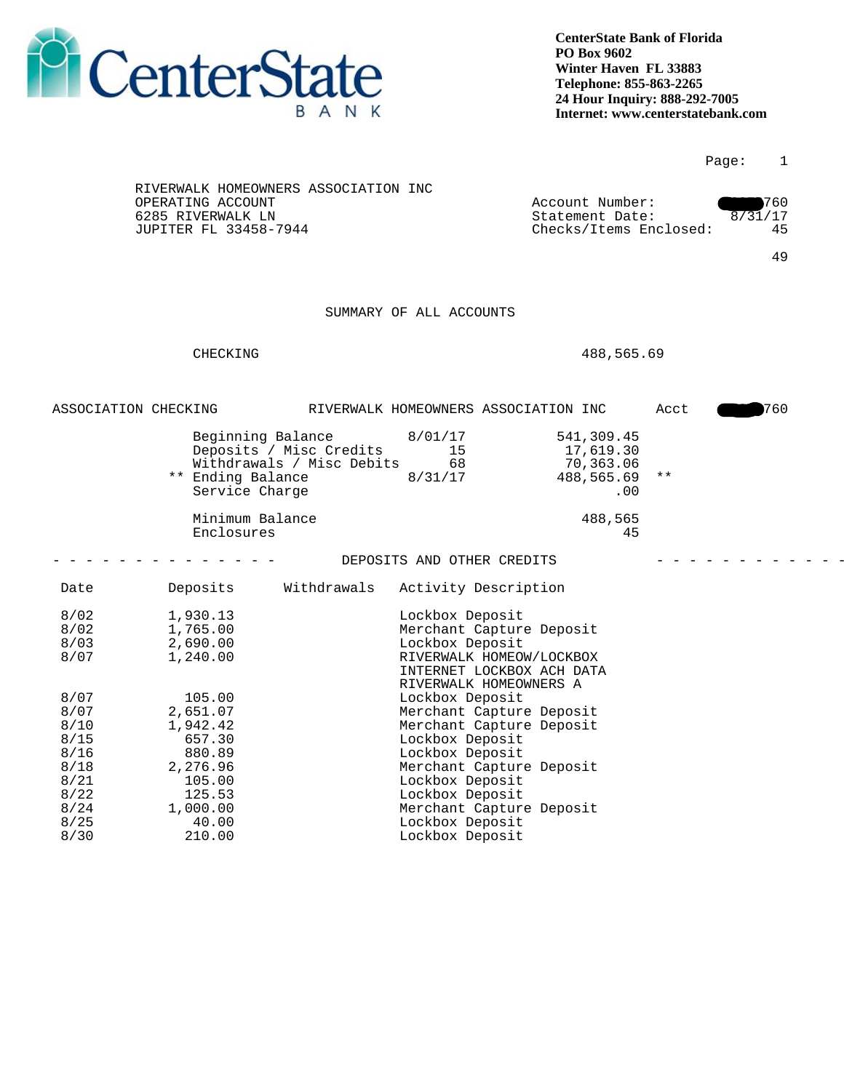

|                      |                                                           |                           |                                             |                                           |      | Page:   | $\mathbf{1}$ |
|----------------------|-----------------------------------------------------------|---------------------------|---------------------------------------------|-------------------------------------------|------|---------|--------------|
|                      | RIVERWALK HOMEOWNERS ASSOCIATION INC<br>OPERATING ACCOUNT |                           |                                             | Account Number:                           |      |         | 760          |
|                      | 6285 RIVERWALK LN<br>JUPITER FL 33458-7944                |                           |                                             | Statement Date:<br>Checks/Items Enclosed: |      | 8/31/17 | 45           |
|                      |                                                           |                           |                                             |                                           |      |         |              |
|                      |                                                           |                           |                                             |                                           |      |         | 49           |
|                      |                                                           |                           |                                             |                                           |      |         |              |
|                      |                                                           |                           |                                             |                                           |      |         |              |
|                      |                                                           |                           | SUMMARY OF ALL ACCOUNTS                     |                                           |      |         |              |
|                      |                                                           |                           |                                             |                                           |      |         |              |
|                      | CHECKING                                                  |                           |                                             | 488,565.69                                |      |         |              |
|                      |                                                           |                           |                                             |                                           |      |         |              |
|                      |                                                           |                           |                                             |                                           |      |         |              |
| ASSOCIATION CHECKING |                                                           |                           | RIVERWALK HOMEOWNERS ASSOCIATION INC        |                                           | Acct |         | 760          |
|                      |                                                           |                           |                                             |                                           |      |         |              |
|                      | Beginning Balance                                         |                           | 8/01/17                                     | 541,309.45                                |      |         |              |
|                      |                                                           | Deposits / Misc Credits   | 15                                          | 17,619.30                                 |      |         |              |
|                      | ** Ending Balance                                         | Withdrawals / Misc Debits | 68<br>8/31/17                               | 70,363.06<br>488,565.69 **                |      |         |              |
|                      | Service Charge                                            |                           |                                             | .00                                       |      |         |              |
|                      |                                                           |                           |                                             |                                           |      |         |              |
|                      | Minimum Balance                                           |                           |                                             | 488,565                                   |      |         |              |
|                      | Enclosures                                                |                           |                                             | 45                                        |      |         |              |
|                      |                                                           |                           | DEPOSITS AND OTHER CREDITS                  |                                           |      |         |              |
|                      |                                                           |                           |                                             |                                           |      |         |              |
| Date                 | Deposits                                                  | Withdrawals               | Activity Description                        |                                           |      |         |              |
| 8/02                 | 1,930.13                                                  |                           | Lockbox Deposit                             |                                           |      |         |              |
| 8/02                 | 1,765.00                                                  |                           | Merchant Capture Deposit                    |                                           |      |         |              |
| 8/03                 | 2,690.00                                                  |                           | Lockbox Deposit                             |                                           |      |         |              |
| 8/07                 | 1,240.00                                                  |                           | RIVERWALK HOMEOW/LOCKBOX                    |                                           |      |         |              |
|                      |                                                           |                           | INTERNET LOCKBOX ACH DATA                   |                                           |      |         |              |
|                      |                                                           |                           | RIVERWALK HOMEOWNERS A                      |                                           |      |         |              |
| 8/07<br>8/07         | 105.00<br>2,651.07                                        |                           | Lockbox Deposit<br>Merchant Capture Deposit |                                           |      |         |              |
| 8/10                 | 1,942.42                                                  |                           | Merchant Capture Deposit                    |                                           |      |         |              |
| 8/15                 | 657.30                                                    |                           | Lockbox Deposit                             |                                           |      |         |              |
| 8/16                 | 880.89                                                    |                           | Lockbox Deposit                             |                                           |      |         |              |
| 8/18                 | 2,276.96                                                  |                           | Merchant Capture Deposit                    |                                           |      |         |              |
| 8/21                 | 105.00                                                    |                           | Lockbox Deposit                             |                                           |      |         |              |
| 8/22<br>8/24         | 125.53<br>1,000.00                                        |                           | Lockbox Deposit<br>Merchant Capture Deposit |                                           |      |         |              |
|                      |                                                           |                           |                                             |                                           |      |         |              |
| 8/25                 | 40.00                                                     |                           | Lockbox Deposit                             |                                           |      |         |              |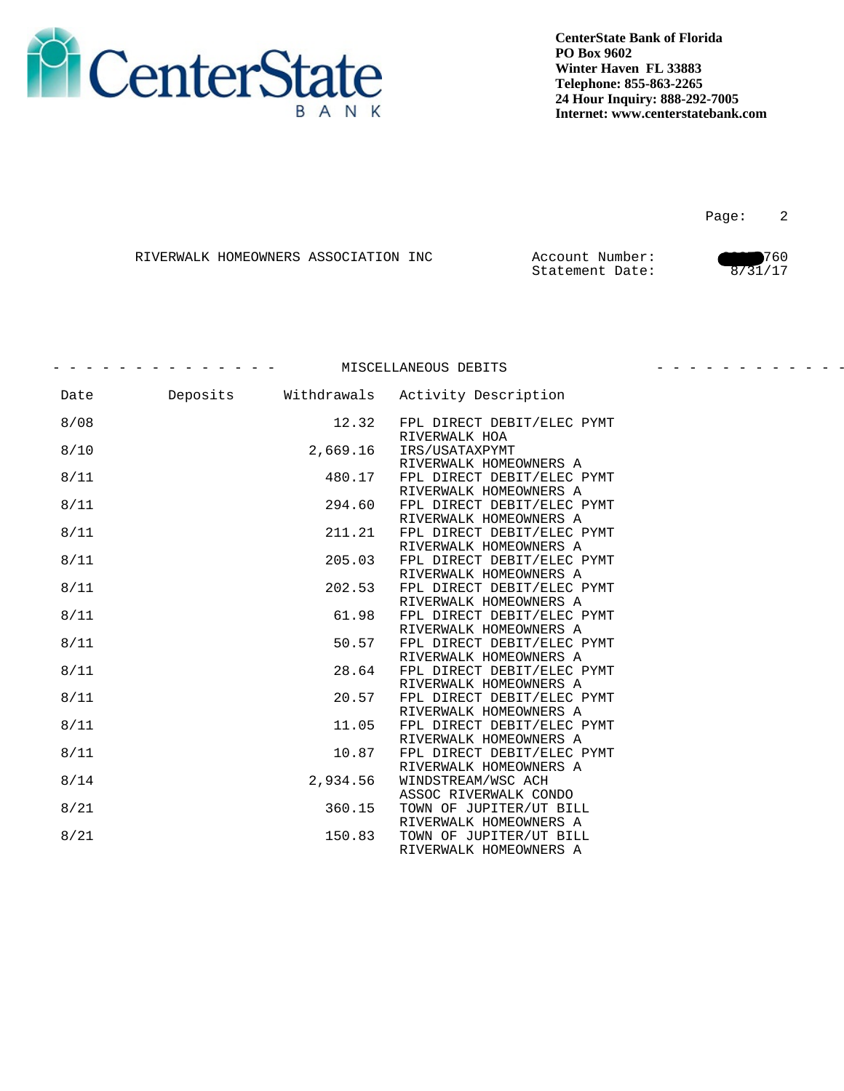

en de la provincia de la provincia de la provincia de la provincia de la provincia de la provincia de la provi

|  | RIVERWALK HOMEOWNERS ASSOCIATION INC | Account Number: | 760 |
|--|--------------------------------------|-----------------|-----|
|  |                                      | Statement Date: |     |

|      |          | MISCELLANEOUS DEBITS                                 |  |
|------|----------|------------------------------------------------------|--|
| Date |          | Deposits Withdrawals Activity Description            |  |
| 8/08 | 12.32    | FPL DIRECT DEBIT/ELEC PYMT<br>RIVERWALK HOA          |  |
| 8/10 | 2,669.16 | IRS/USATAXPYMT<br>RIVERWALK HOMEOWNERS A             |  |
| 8/11 | 480.17   | FPL DIRECT DEBIT/ELEC PYMT<br>RIVERWALK HOMEOWNERS A |  |
| 8/11 | 294.60   | FPL DIRECT DEBIT/ELEC PYMT<br>RIVERWALK HOMEOWNERS A |  |
| 8/11 | 211.21   | FPL DIRECT DEBIT/ELEC PYMT<br>RIVERWALK HOMEOWNERS A |  |
| 8/11 | 205.03   | FPL DIRECT DEBIT/ELEC PYMT<br>RIVERWALK HOMEOWNERS A |  |
| 8/11 | 202.53   | FPL DIRECT DEBIT/ELEC PYMT<br>RIVERWALK HOMEOWNERS A |  |
| 8/11 | 61.98    | FPL DIRECT DEBIT/ELEC PYMT<br>RIVERWALK HOMEOWNERS A |  |
| 8/11 | 50.57    | FPL DIRECT DEBIT/ELEC PYMT<br>RIVERWALK HOMEOWNERS A |  |
| 8/11 | 28.64    | FPL DIRECT DEBIT/ELEC PYMT<br>RIVERWALK HOMEOWNERS A |  |
| 8/11 | 20.57    | FPL DIRECT DEBIT/ELEC PYMT<br>RIVERWALK HOMEOWNERS A |  |
| 8/11 | 11.05    | FPL DIRECT DEBIT/ELEC PYMT<br>RIVERWALK HOMEOWNERS A |  |
| 8/11 | 10.87    | FPL DIRECT DEBIT/ELEC PYMT<br>RIVERWALK HOMEOWNERS A |  |
| 8/14 | 2,934.56 | WINDSTREAM/WSC ACH<br>ASSOC RIVERWALK CONDO          |  |
| 8/21 | 360.15   | TOWN OF JUPITER/UT BILL<br>RIVERWALK HOMEOWNERS A    |  |
| 8/21 | 150.83   | TOWN OF JUPITER/UT BILL<br>RIVERWALK HOMEOWNERS A    |  |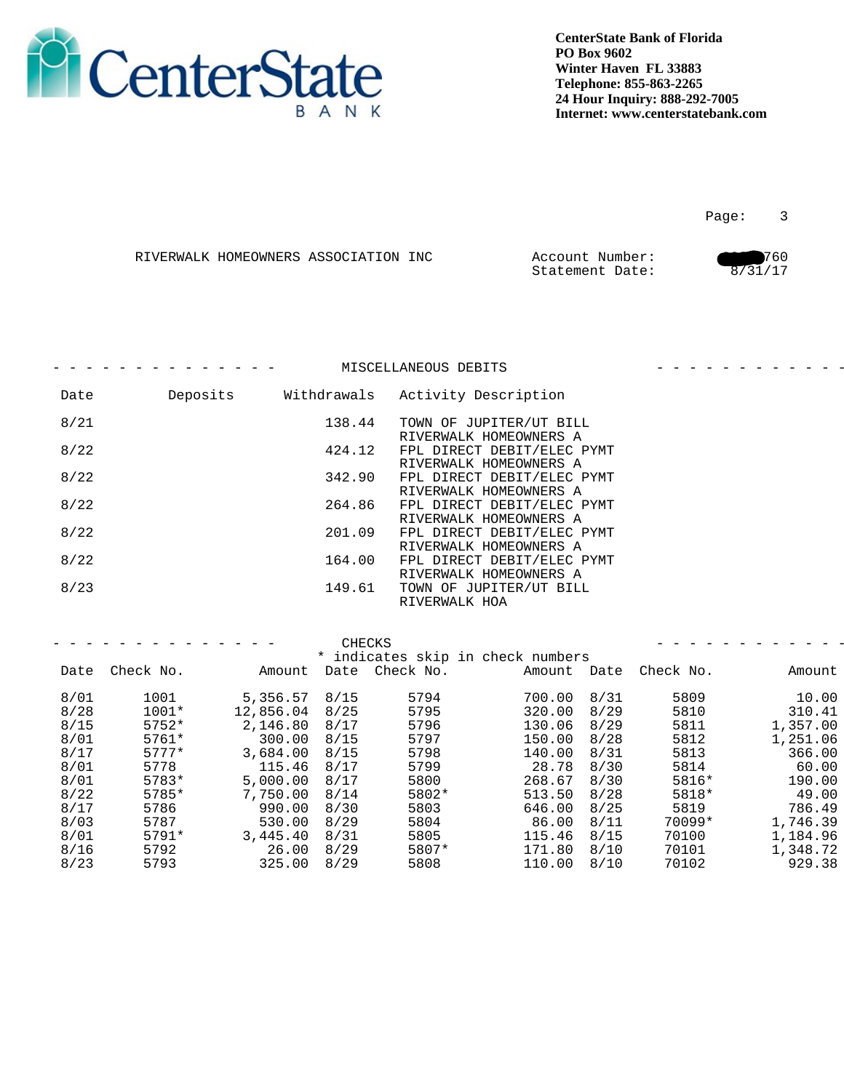

en de la provincia de la provincia de la provincia de la provincia de la provincia de la provincia de la provi

|  | RIVERWALK HOMEOWNERS ASSOCIATION INC | Account Number: | 760     |
|--|--------------------------------------|-----------------|---------|
|  |                                      | Statement Date: | 8/31/17 |

|      |          |             | MISCELLANEOUS DEBITS                                 |  |
|------|----------|-------------|------------------------------------------------------|--|
| Date | Deposits | Withdrawals | Activity Description                                 |  |
| 8/21 |          | 138.44      | TOWN OF JUPITER/UT BILL<br>RIVERWALK HOMEOWNERS A    |  |
| 8/22 |          | 424.12      | FPL DIRECT DEBIT/ELEC PYMT<br>RIVERWALK HOMEOWNERS A |  |
| 8/22 |          | 342.90      | FPL DIRECT DEBIT/ELEC PYMT<br>RIVERWALK HOMEOWNERS A |  |
| 8/22 |          | 264.86      | FPL DIRECT DEBIT/ELEC PYMT<br>RIVERWALK HOMEOWNERS A |  |
| 8/22 |          | 201.09      | FPL DIRECT DEBIT/ELEC PYMT<br>RIVERWALK HOMEOWNERS A |  |
| 8/22 |          | 164.00      | FPL DIRECT DEBIT/ELEC PYMT<br>RIVERWALK HOMEOWNERS A |  |
| 8/23 |          | 149.61      | TOWN OF JUPITER/UT BILL<br>RIVERWALK HOA             |  |
|      |          |             |                                                      |  |

|      | _ _ _ _ _ _ _ _ _ _ _ _ _ _ |                 | CHECKS                            |               |                       | _ _ _ _ _ _ _ _ _ _ _ |
|------|-----------------------------|-----------------|-----------------------------------|---------------|-----------------------|-----------------------|
|      |                             |                 | * indicates skip in check numbers |               |                       |                       |
|      | Date Check No.              | Amount          | Date Check No.                    |               | Amount Date Check No. | Amount                |
| 8/01 | 1001                        | $5,356.57$ 8/15 | 5794                              | 700.00 8/31   | 5809                  | 10.00                 |
| 8/28 | 1001*                       | 12,856.04 8/25  | 5795                              | 320.00 8/29   | 5810                  | 310.41                |
| 8/15 | 5752*                       | 2,146.80 8/17   | 5796                              | 130.06 8/29   | 5811                  | 1,357.00              |
| 8/01 | 5761*                       | 300.00 8/15     | 5797                              | 150.00 8/28   | 5812                  | 1,251.06              |
| 8/17 | $5777*$                     | 3,684.00 8/15   | 5798                              | 140.00 8/31   | 5813                  | 366.00                |
| 8/01 | 5778                        | 115.46 8/17     | 5799                              | 28.78 8/30    | 5814                  | 60.00                 |
| 8/01 | 5783*                       | 5,000.00 8/17   | 5800                              | 268.67 8/30   | 5816*                 | 190.00                |
| 8/22 | 5785*                       | 7,750.00 8/14   | 5802*                             | 513.50 8/28   | 5818*                 | 49.00                 |
| 8/17 | 5786                        | 990.00 8/30     | 5803                              | 646.00 8/25   | 5819                  | 786.49                |
| 8/03 | 5787                        | 530.00 8/29     | 5804                              | 86.00 8/11    | 70099*                | 1,746.39              |
| 8/01 | 5791*                       | $3,445.40$ 8/31 | 5805                              | $115.46$ 8/15 | 70100                 | 1,184.96              |
| 8/16 | 5792                        | $26.00$ $8/29$  | 5807*                             | 171.80 8/10   | 70101                 | 1,348.72              |
| 8/23 | 5793                        | $325.00$ $8/29$ | 5808                              | 110.00 8/10   | 70102                 | 929.38                |